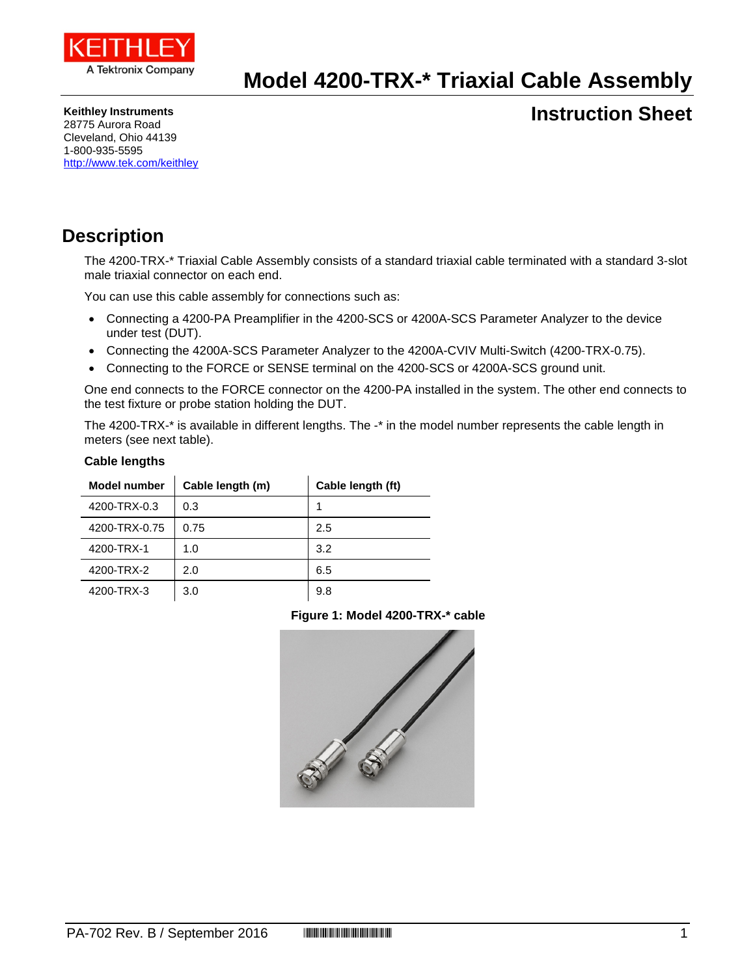

## **Model 4200-TRX-\* Triaxial Cable Assembly**

**Keithley Instruments**

### **Instruction Sheet**

28775 Aurora Road Cleveland, Ohio 44139 1-800-935-5595 <http://www.tek.com/keithley>

### **Description**

The 4200-TRX-\* Triaxial Cable Assembly consists of a standard triaxial cable terminated with a standard 3-slot male triaxial connector on each end.

You can use this cable assembly for connections such as:

- Connecting a 4200-PA Preamplifier in the 4200-SCS or 4200A-SCS Parameter Analyzer to the device under test (DUT).
- Connecting the 4200A-SCS Parameter Analyzer to the 4200A-CVIV Multi-Switch (4200-TRX-0.75).
- Connecting to the FORCE or SENSE terminal on the 4200-SCS or 4200A-SCS ground unit.

One end connects to the FORCE connector on the 4200-PA installed in the system. The other end connects to the test fixture or probe station holding the DUT.

The 4200-TRX-\* is available in different lengths. The -\* in the model number represents the cable length in meters (see next table).

#### **Cable lengths**

| Model number  | Cable length (m) | Cable length (ft) |
|---------------|------------------|-------------------|
| 4200-TRX-0.3  | 0.3              | 1                 |
| 4200-TRX-0.75 | 0.75             | 2.5               |
| 4200-TRX-1    | 1.0              | 3.2               |
| 4200-TRX-2    | 2.0              | 6.5               |
| 4200-TRX-3    | 3.0              | 9.8               |

#### **Figure 1: Model 4200-TRX-\* cable**

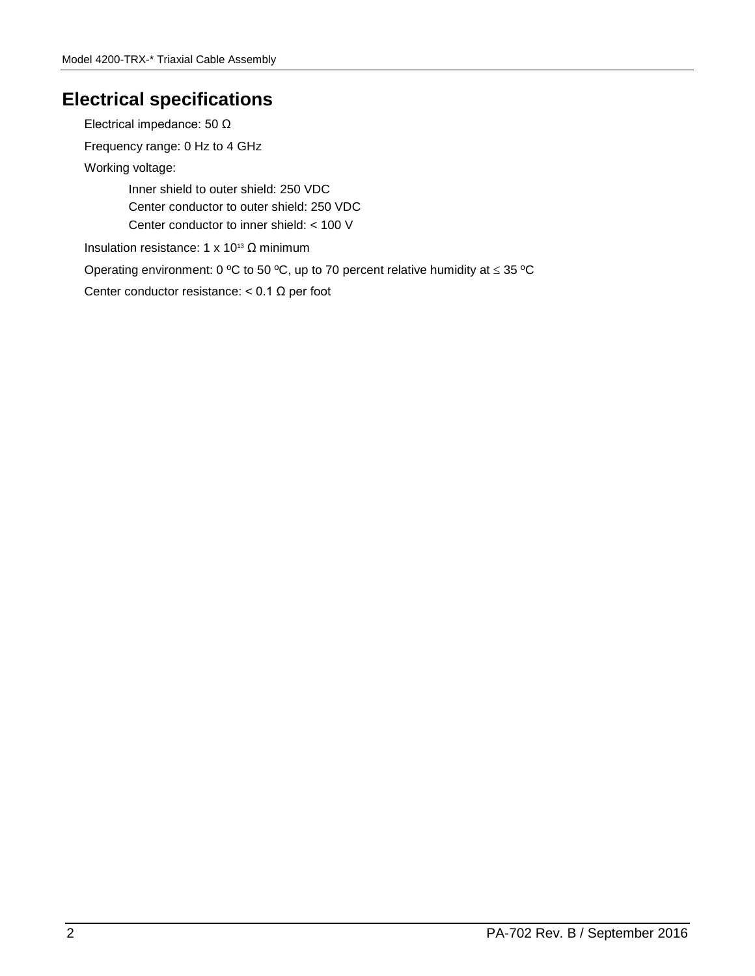### **Electrical specifications**

Electrical impedance: 50 Ω Frequency range: 0 Hz to 4 GHz Working voltage: Inner shield to outer shield: 250 VDC Center conductor to outer shield: 250 VDC Center conductor to inner shield: < 100 V Insulation resistance: 1 x 10<sup>13</sup> Ω minimum Operating environment: 0 ºC to 50 ºC, up to 70 percent relative humidity at ≤ 35 ºC Center conductor resistance:  $< 0.1 \Omega$  per foot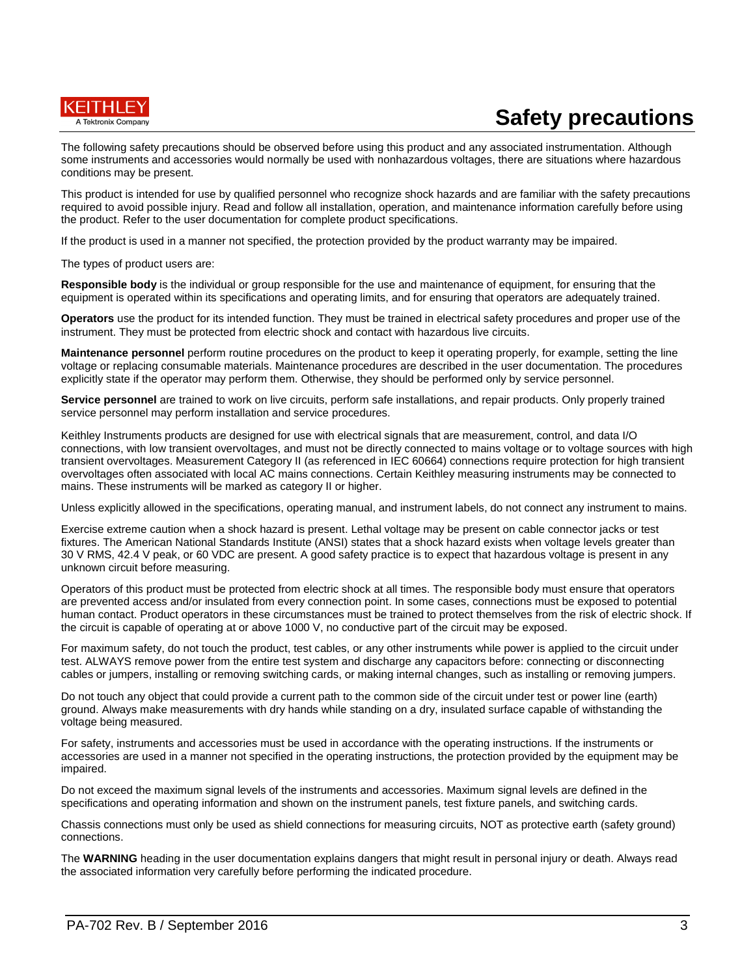

# **Safety precautions**

The following safety precautions should be observed before using this product and any associated instrumentation. Although some instruments and accessories would normally be used with nonhazardous voltages, there are situations where hazardous conditions may be present.

This product is intended for use by qualified personnel who recognize shock hazards and are familiar with the safety precautions required to avoid possible injury. Read and follow all installation, operation, and maintenance information carefully before using the product. Refer to the user documentation for complete product specifications.

If the product is used in a manner not specified, the protection provided by the product warranty may be impaired.

The types of product users are:

**Responsible body** is the individual or group responsible for the use and maintenance of equipment, for ensuring that the equipment is operated within its specifications and operating limits, and for ensuring that operators are adequately trained.

**Operators** use the product for its intended function. They must be trained in electrical safety procedures and proper use of the instrument. They must be protected from electric shock and contact with hazardous live circuits.

**Maintenance personnel** perform routine procedures on the product to keep it operating properly, for example, setting the line voltage or replacing consumable materials. Maintenance procedures are described in the user documentation. The procedures explicitly state if the operator may perform them. Otherwise, they should be performed only by service personnel.

**Service personnel** are trained to work on live circuits, perform safe installations, and repair products. Only properly trained service personnel may perform installation and service procedures.

Keithley Instruments products are designed for use with electrical signals that are measurement, control, and data I/O connections, with low transient overvoltages, and must not be directly connected to mains voltage or to voltage sources with high transient overvoltages. Measurement Category II (as referenced in IEC 60664) connections require protection for high transient overvoltages often associated with local AC mains connections. Certain Keithley measuring instruments may be connected to mains. These instruments will be marked as category II or higher.

Unless explicitly allowed in the specifications, operating manual, and instrument labels, do not connect any instrument to mains.

Exercise extreme caution when a shock hazard is present. Lethal voltage may be present on cable connector jacks or test fixtures. The American National Standards Institute (ANSI) states that a shock hazard exists when voltage levels greater than 30 V RMS, 42.4 V peak, or 60 VDC are present. A good safety practice is to expect that hazardous voltage is present in any unknown circuit before measuring.

Operators of this product must be protected from electric shock at all times. The responsible body must ensure that operators are prevented access and/or insulated from every connection point. In some cases, connections must be exposed to potential human contact. Product operators in these circumstances must be trained to protect themselves from the risk of electric shock. If the circuit is capable of operating at or above 1000 V, no conductive part of the circuit may be exposed.

For maximum safety, do not touch the product, test cables, or any other instruments while power is applied to the circuit under test. ALWAYS remove power from the entire test system and discharge any capacitors before: connecting or disconnecting cables or jumpers, installing or removing switching cards, or making internal changes, such as installing or removing jumpers.

Do not touch any object that could provide a current path to the common side of the circuit under test or power line (earth) ground. Always make measurements with dry hands while standing on a dry, insulated surface capable of withstanding the voltage being measured.

For safety, instruments and accessories must be used in accordance with the operating instructions. If the instruments or accessories are used in a manner not specified in the operating instructions, the protection provided by the equipment may be impaired.

Do not exceed the maximum signal levels of the instruments and accessories. Maximum signal levels are defined in the specifications and operating information and shown on the instrument panels, test fixture panels, and switching cards.

Chassis connections must only be used as shield connections for measuring circuits, NOT as protective earth (safety ground) connections.

The **WARNING** heading in the user documentation explains dangers that might result in personal injury or death. Always read the associated information very carefully before performing the indicated procedure.